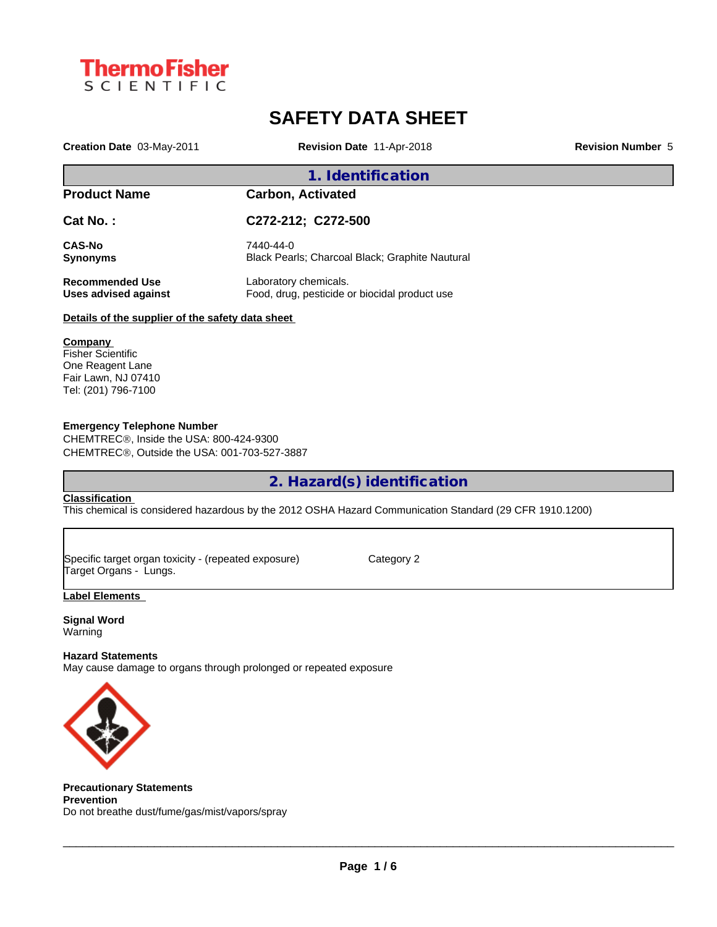

# **SAFETY DATA SHEET**

**Creation Date** 03-May-2011 **Revision Date** 11-Apr-2018 **Revision Number** 5

# **1. Identification Product Name Carbon, Activated Cat No. : C272-212; C272-500 CAS-No** 7440-44-0<br> **Synonyms** Black Pear **Black Pearls; Charcoal Black; Graphite Nautural Recommended Use** Laboratory chemicals. **Uses advised against** Food, drug, pesticide or biocidal product use **Details of the supplier of the safety data sheet**

### **Company**

Fisher Scientific One Reagent Lane Fair Lawn, NJ 07410 Tel: (201) 796-7100

### **Emergency Telephone Number**

CHEMTREC®, Inside the USA: 800-424-9300 CHEMTRECÒ, Outside the USA: 001-703-527-3887

**2. Hazard(s) identification**

### **Classification**

This chemical is considered hazardous by the 2012 OSHA Hazard Communication Standard (29 CFR 1910.1200)

Specific target organ toxicity - (repeated exposure) Category 2 Target Organs - Lungs.

### **Label Elements**

**Signal Word** Warning

### **Hazard Statements**

May cause damage to organs through prolonged or repeated exposure



**Precautionary Statements Prevention** Do not breathe dust/fume/gas/mist/vapors/spray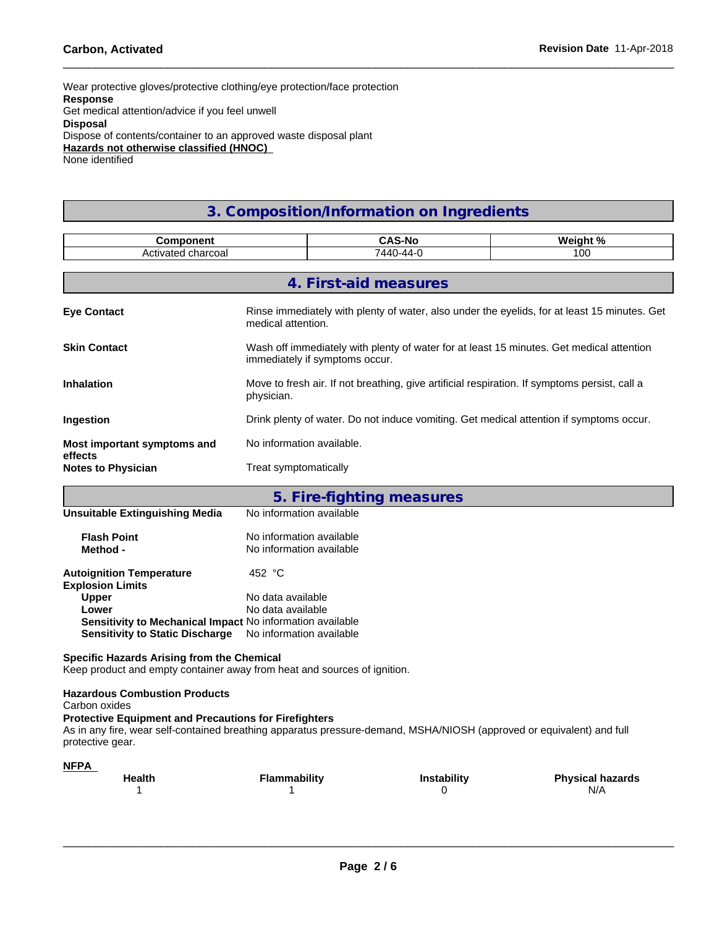Wear protective gloves/protective clothing/eye protection/face protection **Response** Get medical attention/advice if you feel unwell **Disposal** Dispose of contents/container to an approved waste disposal plant **Hazards not otherwise classified (HNOC)** None identified

## **3. Composition/Information on Ingredients**

| Component                                                                                                                                 |                                                      | <b>CAS-No</b>                                                                                                              | Weight %                                                                                     |  |  |  |  |  |  |
|-------------------------------------------------------------------------------------------------------------------------------------------|------------------------------------------------------|----------------------------------------------------------------------------------------------------------------------------|----------------------------------------------------------------------------------------------|--|--|--|--|--|--|
| Activated charcoal                                                                                                                        |                                                      | 7440-44-0                                                                                                                  | 100                                                                                          |  |  |  |  |  |  |
|                                                                                                                                           |                                                      | 4. First-aid measures                                                                                                      |                                                                                              |  |  |  |  |  |  |
| <b>Eye Contact</b>                                                                                                                        | medical attention.                                   |                                                                                                                            | Rinse immediately with plenty of water, also under the eyelids, for at least 15 minutes. Get |  |  |  |  |  |  |
| <b>Skin Contact</b>                                                                                                                       |                                                      | Wash off immediately with plenty of water for at least 15 minutes. Get medical attention<br>immediately if symptoms occur. |                                                                                              |  |  |  |  |  |  |
| Inhalation                                                                                                                                | physician.                                           | Move to fresh air. If not breathing, give artificial respiration. If symptoms persist, call a                              |                                                                                              |  |  |  |  |  |  |
| Ingestion                                                                                                                                 |                                                      | Drink plenty of water. Do not induce vomiting. Get medical attention if symptoms occur.                                    |                                                                                              |  |  |  |  |  |  |
| Most important symptoms and<br>effects                                                                                                    | No information available.                            |                                                                                                                            |                                                                                              |  |  |  |  |  |  |
| <b>Notes to Physician</b>                                                                                                                 | Treat symptomatically                                |                                                                                                                            |                                                                                              |  |  |  |  |  |  |
|                                                                                                                                           |                                                      | 5. Fire-fighting measures                                                                                                  |                                                                                              |  |  |  |  |  |  |
| <b>Unsuitable Extinguishing Media</b>                                                                                                     | No information available                             |                                                                                                                            |                                                                                              |  |  |  |  |  |  |
| <b>Flash Point</b><br>Method -                                                                                                            | No information available<br>No information available |                                                                                                                            |                                                                                              |  |  |  |  |  |  |
| <b>Autoignition Temperature</b><br><b>Explosion Limits</b>                                                                                | 452 °C                                               |                                                                                                                            |                                                                                              |  |  |  |  |  |  |
| Upper                                                                                                                                     | No data available                                    |                                                                                                                            |                                                                                              |  |  |  |  |  |  |
| Lower<br>Sensitivity to Mechanical Impact No information available<br>Sensitivity to Static Discharge No information available            | No data available                                    |                                                                                                                            |                                                                                              |  |  |  |  |  |  |
| Specific Hazards Arising from the Chemical<br>Keep product and empty container away from heat and sources of ignition.                    |                                                      |                                                                                                                            |                                                                                              |  |  |  |  |  |  |
| <b>Hazardous Combustion Products</b><br>Carbon oxides<br><b>Protective Equipment and Precautions for Firefighters</b><br>protective gear. |                                                      | As in any fire, wear self-contained breathing apparatus pressure-demand, MSHA/NIOSH (approved or equivalent) and full      |                                                                                              |  |  |  |  |  |  |
| <b>NFPA</b><br>Health<br>1                                                                                                                | <b>Flammability</b><br>-1                            | Instability<br>0                                                                                                           | <b>Physical hazards</b><br>N/A                                                               |  |  |  |  |  |  |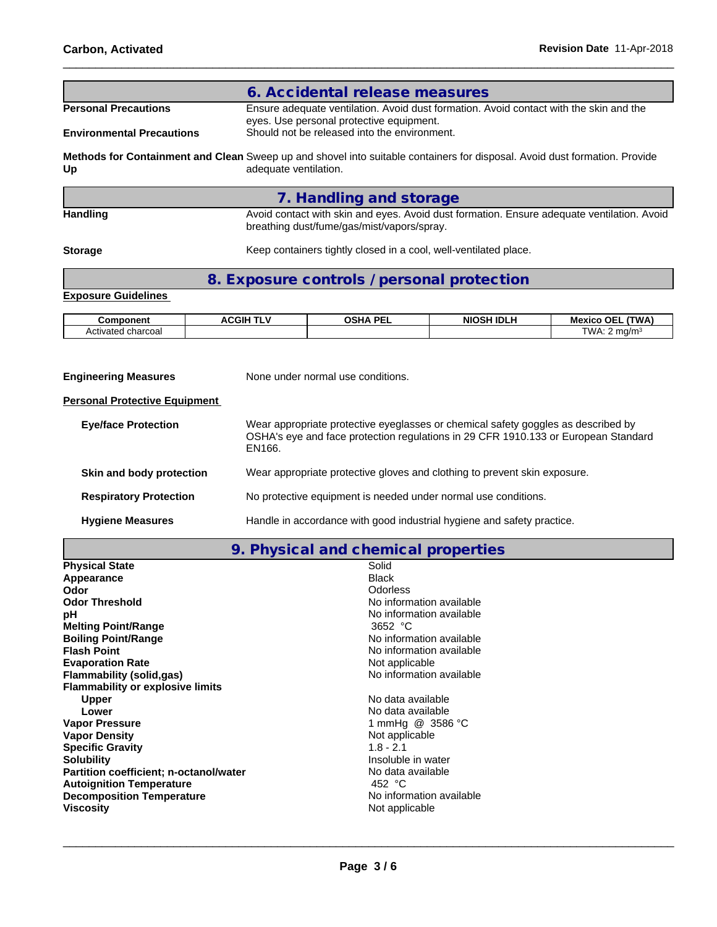|                                  | 6. Accidental release measures                                                                                                                      |
|----------------------------------|-----------------------------------------------------------------------------------------------------------------------------------------------------|
| <b>Personal Precautions</b>      | Ensure adequate ventilation. Avoid dust formation. Avoid contact with the skin and the<br>eyes. Use personal protective equipment.                  |
| <b>Environmental Precautions</b> | Should not be released into the environment.                                                                                                        |
| Up                               | Methods for Containment and Clean Sweep up and shovel into suitable containers for disposal. Avoid dust formation. Provide<br>adequate ventilation. |
|                                  | 7. Handling and storage                                                                                                                             |
| <b>Handling</b>                  | Avoid contact with skin and eyes. Avoid dust formation. Ensure adequate ventilation. Avoid<br>breathing dust/fume/gas/mist/vapors/spray.            |
| <b>Storage</b>                   | Keep containers tightly closed in a cool, well-ventilated place.                                                                                    |
|                                  | 8. Exposure controls / personal protection                                                                                                          |
| <b>Exposure Guidelines</b>       |                                                                                                                                                     |
|                                  |                                                                                                                                                     |

| onen∣<br>nп                                         | .<br>:GIF | . DE<br>ດເ⊔<br>--- | .<br>NIC<br>' IDL. | <b>TWA</b><br>nЕ.<br>мe<br>хιι |
|-----------------------------------------------------|-----------|--------------------|--------------------|--------------------------------|
| charcoa<br>---<br>$\tilde{\phantom{a}}$<br>Activate |           |                    |                    | ™∆M<br>ma/m                    |

| <b>Engineering Measures</b>          | None under normal use conditions.                                                                                                                                                 |
|--------------------------------------|-----------------------------------------------------------------------------------------------------------------------------------------------------------------------------------|
| <b>Personal Protective Equipment</b> |                                                                                                                                                                                   |
| <b>Eye/face Protection</b>           | Wear appropriate protective eyeglasses or chemical safety goggles as described by<br>OSHA's eye and face protection regulations in 29 CFR 1910.133 or European Standard<br>EN166. |
| Skin and body protection             | Wear appropriate protective gloves and clothing to prevent skin exposure.                                                                                                         |
| <b>Respiratory Protection</b>        | No protective equipment is needed under normal use conditions.                                                                                                                    |
| <b>Hygiene Measures</b>              | Handle in accordance with good industrial hygiene and safety practice.                                                                                                            |

**9. Physical and chemical properties**

| <b>Physical State</b>                   | Solid                    |  |
|-----------------------------------------|--------------------------|--|
| Appearance                              | <b>Black</b>             |  |
| <b>Odor</b>                             | Odorless                 |  |
| <b>Odor Threshold</b>                   | No information available |  |
| рH                                      | No information available |  |
| <b>Melting Point/Range</b>              | 3652 $^{\circ}$ C        |  |
| <b>Boiling Point/Range</b>              | No information available |  |
| <b>Flash Point</b>                      | No information available |  |
| <b>Evaporation Rate</b>                 | Not applicable           |  |
| Flammability (solid,gas)                | No information available |  |
| <b>Flammability or explosive limits</b> |                          |  |
| Upper                                   | No data available        |  |
| Lower                                   | No data available        |  |
| <b>Vapor Pressure</b>                   | 1 mmHg @ 3586 °C         |  |
| <b>Vapor Density</b>                    | Not applicable           |  |
| <b>Specific Gravity</b>                 | $1.8 - 2.1$              |  |
| <b>Solubility</b>                       | Insoluble in water       |  |
| Partition coefficient; n-octanol/water  | No data available        |  |
| <b>Autoignition Temperature</b>         | 452 °C                   |  |
| <b>Decomposition Temperature</b>        | No information available |  |
| <b>Viscosity</b>                        | Not applicable           |  |
|                                         |                          |  |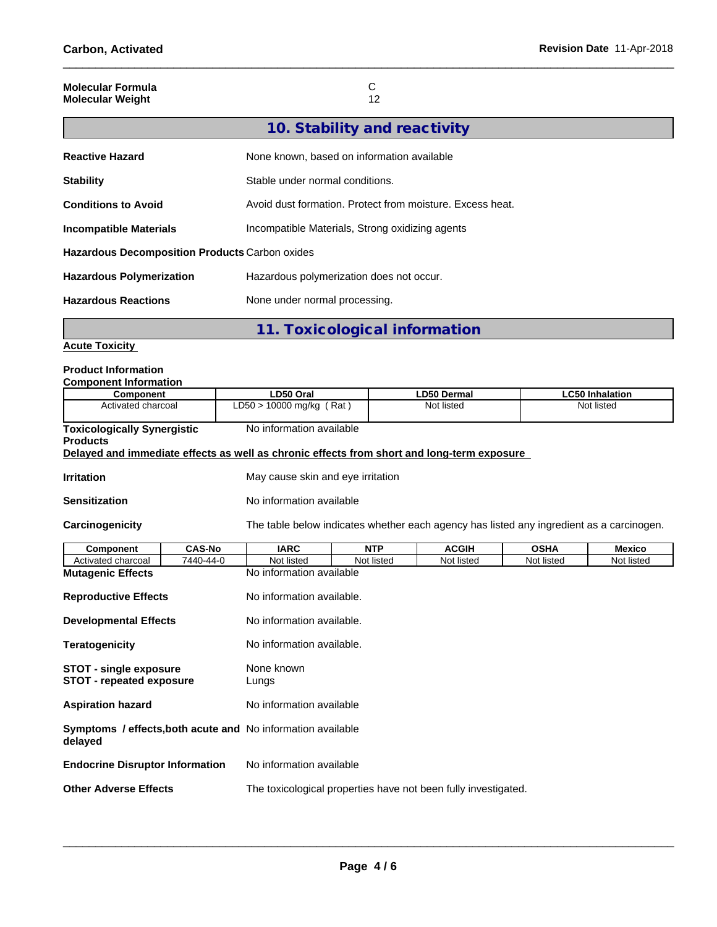| <b>Molecular Formula</b> |    |
|--------------------------|----|
| <b>Molecular Weight</b>  | 12 |
|                          |    |

| 10. Stability and reactivity |  |
|------------------------------|--|
|------------------------------|--|

| <b>Reactive Hazard</b>                         | None known, based on information available                |
|------------------------------------------------|-----------------------------------------------------------|
| <b>Stability</b>                               | Stable under normal conditions.                           |
| <b>Conditions to Avoid</b>                     | Avoid dust formation. Protect from moisture. Excess heat. |
| Incompatible Materials                         | Incompatible Materials, Strong oxidizing agents           |
| Hazardous Decomposition Products Carbon oxides |                                                           |
| <b>Hazardous Polymerization</b>                | Hazardous polymerization does not occur.                  |
| <b>Hazardous Reactions</b>                     | None under normal processing.                             |

**11. Toxicological information**

**Acute Toxicity**

## **Product Information**

| <b>Component Information</b>                                     |                          |                                                                                            |            |                                                                                          |             |                        |  |  |  |
|------------------------------------------------------------------|--------------------------|--------------------------------------------------------------------------------------------|------------|------------------------------------------------------------------------------------------|-------------|------------------------|--|--|--|
| <b>Component</b>                                                 |                          | LD50 Oral                                                                                  |            | <b>LD50 Dermal</b>                                                                       |             | <b>LC50 Inhalation</b> |  |  |  |
| Activated charcoal                                               |                          | LD50 > 10000 mg/kg (Rat)                                                                   |            | Not listed                                                                               |             | Not listed             |  |  |  |
| <b>Toxicologically Synergistic</b><br><b>Products</b>            |                          | No information available                                                                   |            |                                                                                          |             |                        |  |  |  |
|                                                                  |                          | Delayed and immediate effects as well as chronic effects from short and long-term exposure |            |                                                                                          |             |                        |  |  |  |
| <b>Irritation</b>                                                |                          | May cause skin and eye irritation                                                          |            |                                                                                          |             |                        |  |  |  |
| <b>Sensitization</b>                                             |                          | No information available                                                                   |            |                                                                                          |             |                        |  |  |  |
| Carcinogenicity                                                  |                          |                                                                                            |            | The table below indicates whether each agency has listed any ingredient as a carcinogen. |             |                        |  |  |  |
| <b>Component</b>                                                 | <b>CAS-No</b>            | <b>IARC</b>                                                                                | <b>NTP</b> | <b>ACGIH</b>                                                                             | <b>OSHA</b> | <b>Mexico</b>          |  |  |  |
| Activated charcoal                                               | 7440-44-0                | Not listed                                                                                 | Not listed | Not listed                                                                               | Not listed  | Not listed             |  |  |  |
| <b>Mutagenic Effects</b>                                         |                          | No information available                                                                   |            |                                                                                          |             |                        |  |  |  |
| <b>Reproductive Effects</b>                                      |                          | No information available.                                                                  |            |                                                                                          |             |                        |  |  |  |
| <b>Developmental Effects</b>                                     |                          | No information available.                                                                  |            |                                                                                          |             |                        |  |  |  |
| <b>Teratogenicity</b>                                            |                          | No information available.                                                                  |            |                                                                                          |             |                        |  |  |  |
| <b>STOT - single exposure</b><br><b>STOT - repeated exposure</b> |                          | None known<br>Lungs                                                                        |            |                                                                                          |             |                        |  |  |  |
| <b>Aspiration hazard</b>                                         | No information available |                                                                                            |            |                                                                                          |             |                        |  |  |  |
| delayed                                                          |                          | <b>Symptoms / effects, both acute and No information available</b>                         |            |                                                                                          |             |                        |  |  |  |
| <b>Endocrine Disruptor Information</b>                           |                          | No information available                                                                   |            |                                                                                          |             |                        |  |  |  |
| <b>Other Adverse Effects</b>                                     |                          |                                                                                            |            | The toxicological properties have not been fully investigated.                           |             |                        |  |  |  |
|                                                                  |                          |                                                                                            |            |                                                                                          |             |                        |  |  |  |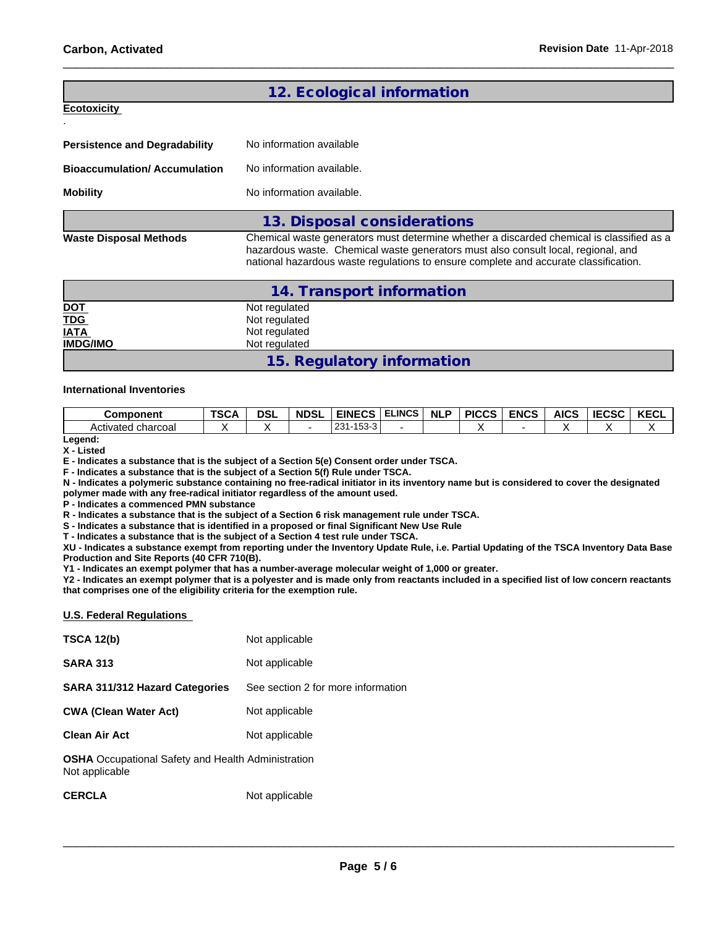### **12. Ecological information**

**Ecotoxicity** 

.

| <b>Persistence and Degradability</b> | No information available                                                                                                                                                                                                                                              |
|--------------------------------------|-----------------------------------------------------------------------------------------------------------------------------------------------------------------------------------------------------------------------------------------------------------------------|
| <b>Bioaccumulation/Accumulation</b>  | No information available.                                                                                                                                                                                                                                             |
| <b>Mobility</b>                      | No information available.                                                                                                                                                                                                                                             |
|                                      | 13. Disposal considerations                                                                                                                                                                                                                                           |
| <b>Waste Disposal Methods</b>        | Chemical waste generators must determine whether a discarded chemical is classified as a<br>hazardous waste. Chemical waste generators must also consult local, regional, and<br>national hazardous waste regulations to ensure complete and accurate classification. |

|                 | 14. Transport information  |  |
|-----------------|----------------------------|--|
| <b>DOT</b>      | Not regulated              |  |
| <b>TDG</b>      | Not regulated              |  |
| <b>IATA</b>     | Not regulated              |  |
| <b>IMDG/IMO</b> | Not regulated              |  |
|                 | 15. Regulatory information |  |

### **International Inventories**

| <b>Component</b>      | TSC <sub>/</sub> | <b>DSI</b> | <b>NDSL</b> | <b>EINECS</b>        | <b>ELINCS</b> | NI <sub>P</sub> | <b>PICCS</b> | <b>ENCS</b> | <b>AICS</b> | <b>IECSC</b> | <b>IZEOI</b><br>NEVL |
|-----------------------|------------------|------------|-------------|----------------------|---------------|-----------------|--------------|-------------|-------------|--------------|----------------------|
| charcoal<br>Activated |                  |            |             | 0.04<br>ט ו<br>∍ د ب |               |                 |              |             |             |              |                      |

**Legend: X - Listed**

**E - Indicates a substance that is the subject of a Section 5(e) Consent order under TSCA.**

**F - Indicates a substance that is the subject of a Section 5(f) Rule under TSCA.**

**N - Indicates a polymeric substance containing no free-radical initiator in its inventory name but is considered to cover the designated polymer made with any free-radical initiator regardless of the amount used.**

**P - Indicates a commenced PMN substance**

**R - Indicates a substance that is the subject of a Section 6 risk management rule under TSCA.**

**S - Indicates a substance that is identified in a proposed or final Significant New Use Rule**

**T - Indicates a substance that is the subject of a Section 4 test rule under TSCA.**

**XU - Indicates a substance exempt from reporting under the Inventory Update Rule, i.e. Partial Updating of the TSCA Inventory Data Base Production and Site Reports (40 CFR 710(B).**

**Y1 - Indicates an exempt polymer that has a number-average molecular weight of 1,000 or greater.**

**Y2 - Indicates an exempt polymer that is a polyester and is made only from reactants included in a specified list of low concern reactants that comprises one of the eligibility criteria for the exemption rule.**

### **U.S. Federal Regulations**

| <b>TSCA 12(b)</b>                                                           | Not applicable                     |
|-----------------------------------------------------------------------------|------------------------------------|
| <b>SARA 313</b>                                                             | Not applicable                     |
| <b>SARA 311/312 Hazard Categories</b>                                       | See section 2 for more information |
| <b>CWA (Clean Water Act)</b>                                                | Not applicable                     |
| <b>Clean Air Act</b>                                                        | Not applicable                     |
| <b>OSHA</b> Occupational Safety and Health Administration<br>Not applicable |                                    |
| <b>CERCLA</b>                                                               | Not applicable                     |